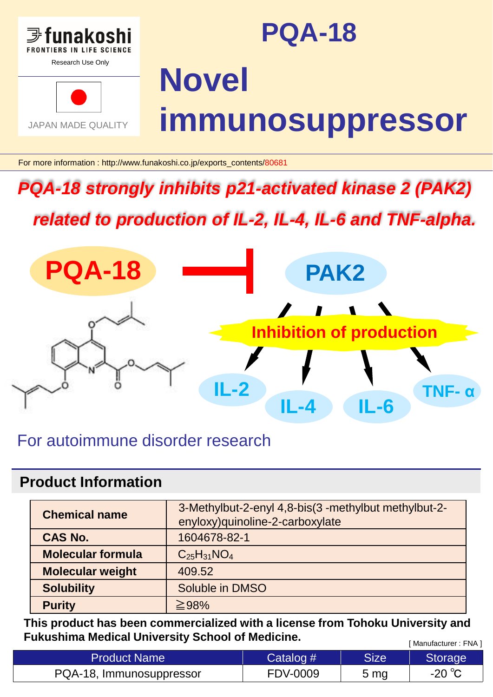

# **PQA-18**



# **Novel immunosuppressor**

For more information : http://www.funakoshi.co.jp/exports\_contents/80681

## *PQA-18 strongly inhibits p21-activated kinase 2 (PAK2)*

*related to production of IL-2, IL-4, IL-6 and TNF-alpha.*



## For autoimmune disorder research

#### **Product Information**

| <b>Chemical name</b>     | 3-Methylbut-2-enyl 4,8-bis(3 -methylbut methylbut-2-<br>enyloxy) quinoline-2-carboxylate |  |  |
|--------------------------|------------------------------------------------------------------------------------------|--|--|
| <b>CAS No.</b>           | 1604678-82-1                                                                             |  |  |
| <b>Molecular formula</b> | $C_{25}H_{31}NO_4$                                                                       |  |  |
| <b>Molecular weight</b>  | 409.52                                                                                   |  |  |
| <b>Solubility</b>        | Soluble in DMSO                                                                          |  |  |
| <b>Purity</b>            | $\geq$ 98%                                                                               |  |  |

[ Manufacturer : FNA ] **This product has been commercialized with a license from Tohoku University and Fukushima Medical University School of Medicine.**

| <b>Product Name</b>      | Catalog #       | Size            | Storage |
|--------------------------|-----------------|-----------------|---------|
| PQA-18, Immunosuppressor | <b>FDV-0009</b> | 5 <sub>mg</sub> | -20 °C  |